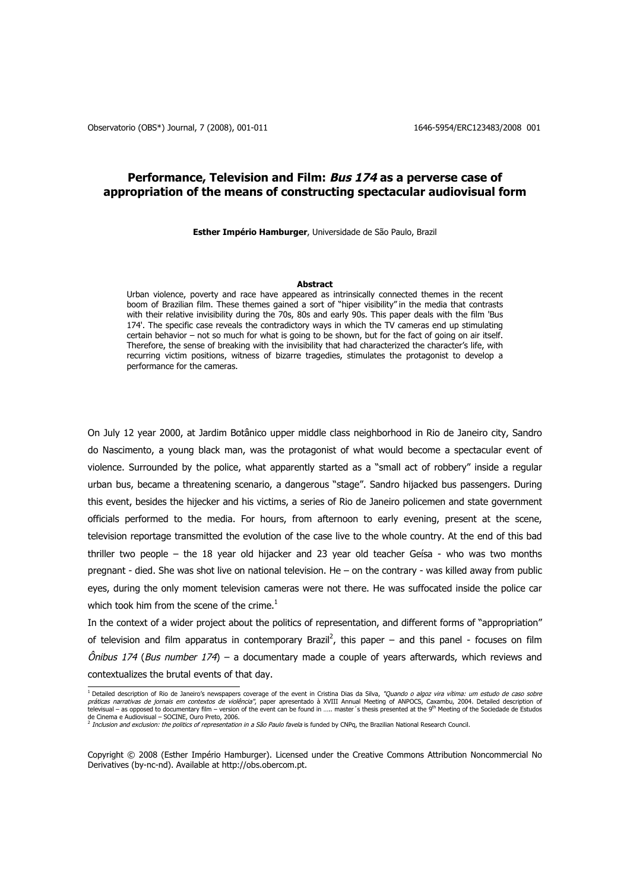# **Performance, Television and Film: Bus 174 as a perverse case of appropriation of the means of constructing spectacular audiovisual form**

**Esther Império Hamburger**, Universidade de São Paulo, Brazil

#### **Abstract**

Urban violence, poverty and race have appeared as intrinsically connected themes in the recent boom of Brazilian film. These themes gained a sort of "hiper visibility" in the media that contrasts with their relative invisibility during the 70s, 80s and early 90s. This paper deals with the film 'Bus 174'. The specific case reveals the contradictory ways in which the TV cameras end up stimulating certain behavior – not so much for what is going to be shown, but for the fact of going on air itself. Therefore, the sense of breaking with the invisibility that had characterized the character's life, with recurring victim positions, witness of bizarre tragedies, stimulates the protagonist to develop a performance for the cameras.

On July 12 year 2000, at Jardim Botânico upper middle class neighborhood in Rio de Janeiro city, Sandro do Nascimento, a young black man, was the protagonist of what would become a spectacular event of violence. Surrounded by the police, what apparently started as a "small act of robbery" inside a regular urban bus, became a threatening scenario, a dangerous "stage". Sandro hijacked bus passengers. During this event, besides the hijecker and his victims, a series of Rio de Janeiro policemen and state government officials performed to the media. For hours, from afternoon to early evening, present at the scene, television reportage transmitted the evolution of the case live to the whole country. At the end of this bad thriller two people – the 18 year old hijacker and 23 year old teacher Geísa - who was two months pregnant - died. She was shot live on national television. He – on the contrary - was killed away from public eyes, during the only moment television cameras were not there. He was suffocated inside the police car which took him from the scene of the crime. $^1$ 

In the context of a wider project about the politics of representation, and different forms of "appropriation" of television and film apparatus in contemporary Brazil<sup>2</sup>, this paper – and this panel - focuses on film  $\hat{O}$ nibus 174 (Bus number 174) – a documentary made a couple of years afterwards, which reviews and contextualizes the brutal events of that day.

<sup>&</sup>lt;sup>1</sup> Detailed description of Rio de Janeiro's newspapers coverage of the event in Cristina Dias da Silva, "Quando o algoz vira vítima: um estudo de caso sobre<br>práticas narrativas de jornais em contextos de violência", paper de Cinema e Audiovisual – SOCINE, Ouro Preto, 2006.<br><sup>2</sup> Inclusion and exclusion: the politics of representation in a São Paulo favela is funded by CNPq, the Brazilian National Research Council.

Copyright © 2008 (Esther Império Hamburger). Licensed under the Creative Commons Attribution Noncommercial No Derivatives (by-nc-nd). Available at http://obs.obercom.pt.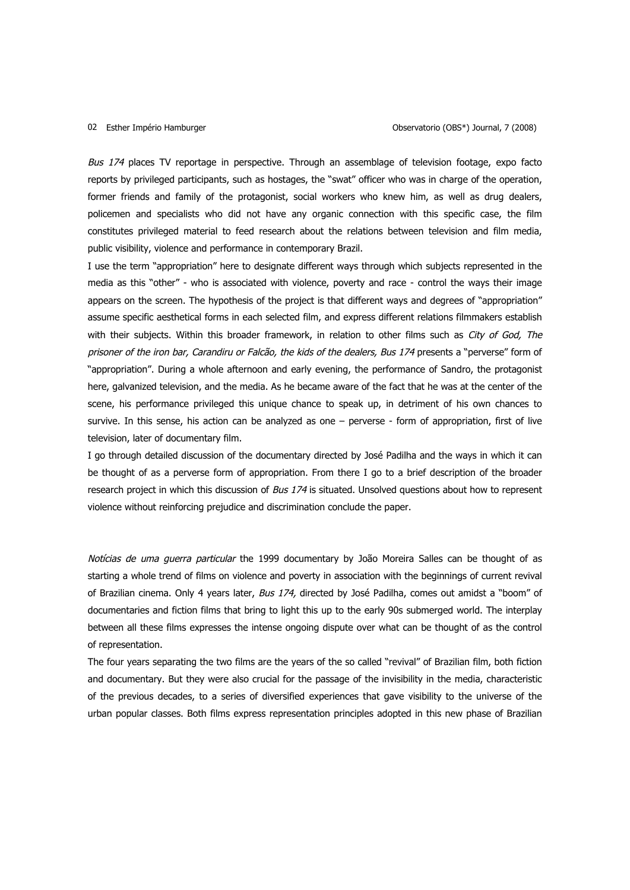### 02 Esther Império Hamburger

Bus 174 places TV reportage in perspective. Through an assemblage of television footage, expo facto reports by privileged participants, such as hostages, the "swat" officer who was in charge of the operation, former friends and family of the protagonist, social workers who knew him, as well as drug dealers, policemen and specialists who did not have any organic connection with this specific case, the film constitutes privileged material to feed research about the relations between television and film media, public visibility, violence and performance in contemporary Brazil.

I use the term "appropriation" here to designate different ways through which subjects represented in the media as this "other" - who is associated with violence, poverty and race - control the ways their image appears on the screen. The hypothesis of the project is that different ways and degrees of "appropriation" assume specific aesthetical forms in each selected film, and express different relations filmmakers establish with their subjects. Within this broader framework, in relation to other films such as City of God, The prisoner of the iron bar, Carandiru or Falcão, the kids of the dealers, Bus 174 presents a "perverse" form of "appropriation". During a whole afternoon and early evening, the performance of Sandro, the protagonist here, galvanized television, and the media. As he became aware of the fact that he was at the center of the scene, his performance privileged this unique chance to speak up, in detriment of his own chances to survive. In this sense, his action can be analyzed as one – perverse - form of appropriation, first of live television, later of documentary film.

I go through detailed discussion of the documentary directed by José Padilha and the ways in which it can be thought of as a perverse form of appropriation. From there I go to a brief description of the broader research project in which this discussion of Bus 174 is situated. Unsolved questions about how to represent violence without reinforcing prejudice and discrimination conclude the paper.

Notícias de uma guerra particular the 1999 documentary by João Moreira Salles can be thought of as starting a whole trend of films on violence and poverty in association with the beginnings of current revival of Brazilian cinema. Only 4 years later, Bus 174, directed by José Padilha, comes out amidst a "boom" of documentaries and fiction films that bring to light this up to the early 90s submerged world. The interplay between all these films expresses the intense ongoing dispute over what can be thought of as the control of representation.

The four years separating the two films are the years of the so called "revival" of Brazilian film, both fiction and documentary. But they were also crucial for the passage of the invisibility in the media, characteristic of the previous decades, to a series of diversified experiences that gave visibility to the universe of the urban popular classes. Both films express representation principles adopted in this new phase of Brazilian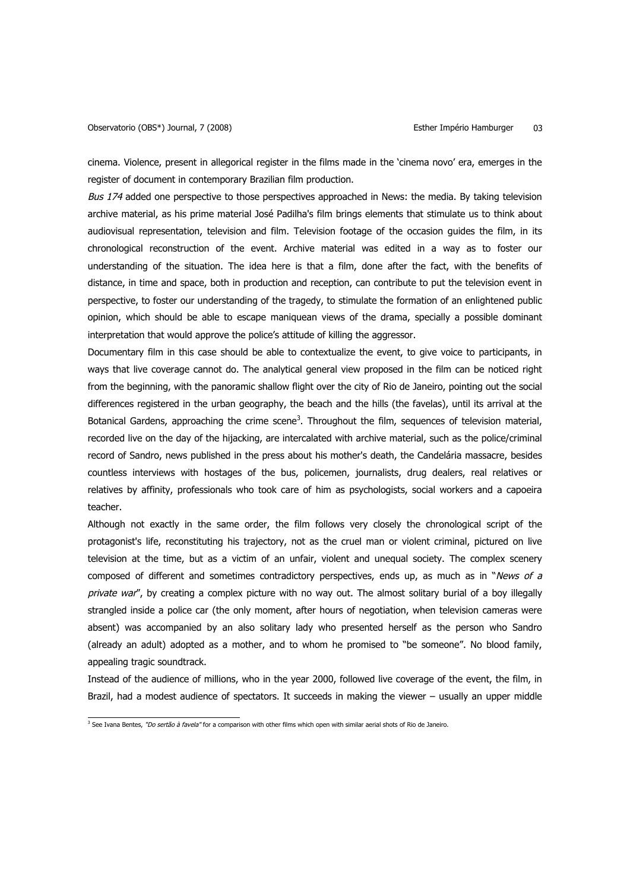cinema. Violence, present in allegorical register in the films made in the 'cinema novo' era, emerges in the register of document in contemporary Brazilian film production.

Bus 174 added one perspective to those perspectives approached in News: the media. By taking television archive material, as his prime material José Padilha's film brings elements that stimulate us to think about audiovisual representation, television and film. Television footage of the occasion guides the film, in its chronological reconstruction of the event. Archive material was edited in a way as to foster our understanding of the situation. The idea here is that a film, done after the fact, with the benefits of distance, in time and space, both in production and reception, can contribute to put the television event in perspective, to foster our understanding of the tragedy, to stimulate the formation of an enlightened public opinion, which should be able to escape maniquean views of the drama, specially a possible dominant interpretation that would approve the police's attitude of killing the aggressor.

Documentary film in this case should be able to contextualize the event, to give voice to participants, in ways that live coverage cannot do. The analytical general view proposed in the film can be noticed right from the beginning, with the panoramic shallow flight over the city of Rio de Janeiro, pointing out the social differences registered in the urban geography, the beach and the hills (the favelas), until its arrival at the Botanical Gardens, approaching the crime scene<sup>3</sup>. Throughout the film, sequences of television material, recorded live on the day of the hijacking, are intercalated with archive material, such as the police/criminal record of Sandro, news published in the press about his mother's death, the Candelária massacre, besides countless interviews with hostages of the bus, policemen, journalists, drug dealers, real relatives or relatives by affinity, professionals who took care of him as psychologists, social workers and a capoeira teacher.

Although not exactly in the same order, the film follows very closely the chronological script of the protagonist's life, reconstituting his trajectory, not as the cruel man or violent criminal, pictured on live television at the time, but as a victim of an unfair, violent and unequal society. The complex scenery composed of different and sometimes contradictory perspectives, ends up, as much as in "News of a private war", by creating a complex picture with no way out. The almost solitary burial of a boy illegally strangled inside a police car (the only moment, after hours of negotiation, when television cameras were absent) was accompanied by an also solitary lady who presented herself as the person who Sandro (already an adult) adopted as a mother, and to whom he promised to "be someone". No blood family, appealing tragic soundtrack.

Instead of the audience of millions, who in the year 2000, followed live coverage of the event, the film, in Brazil, had a modest audience of spectators. It succeeds in making the viewer – usually an upper middle

<sup>&</sup>lt;sup>3</sup> See Ivana Bentes, *"Do sertão à favela"* for a comparison with other films which open with similar aerial shots of Rio de Janeiro.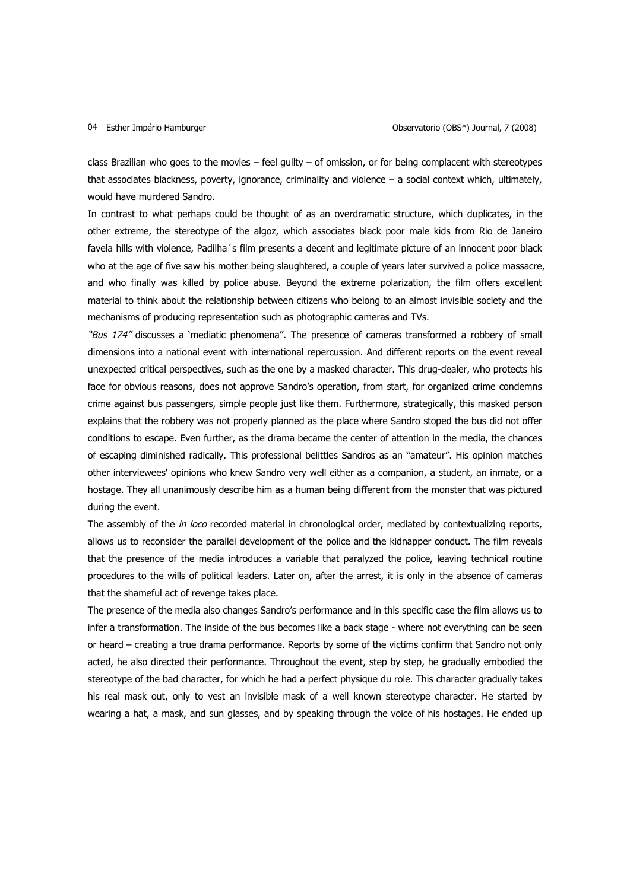class Brazilian who goes to the movies – feel guilty – of omission, or for being complacent with stereotypes that associates blackness, poverty, ignorance, criminality and violence – a social context which, ultimately, would have murdered Sandro.

In contrast to what perhaps could be thought of as an overdramatic structure, which duplicates, in the other extreme, the stereotype of the algoz, which associates black poor male kids from Rio de Janeiro favela hills with violence, Padilha´s film presents a decent and legitimate picture of an innocent poor black who at the age of five saw his mother being slaughtered, a couple of years later survived a police massacre, and who finally was killed by police abuse. Beyond the extreme polarization, the film offers excellent material to think about the relationship between citizens who belong to an almost invisible society and the mechanisms of producing representation such as photographic cameras and TVs.

"Bus 174" discusses a 'mediatic phenomena". The presence of cameras transformed a robbery of small dimensions into a national event with international repercussion. And different reports on the event reveal unexpected critical perspectives, such as the one by a masked character. This drug-dealer, who protects his face for obvious reasons, does not approve Sandro's operation, from start, for organized crime condemns crime against bus passengers, simple people just like them. Furthermore, strategically, this masked person explains that the robbery was not properly planned as the place where Sandro stoped the bus did not offer conditions to escape. Even further, as the drama became the center of attention in the media, the chances of escaping diminished radically. This professional belittles Sandros as an "amateur". His opinion matches other interviewees' opinions who knew Sandro very well either as a companion, a student, an inmate, or a hostage. They all unanimously describe him as a human being different from the monster that was pictured during the event.

The assembly of the in loco recorded material in chronological order, mediated by contextualizing reports, allows us to reconsider the parallel development of the police and the kidnapper conduct. The film reveals that the presence of the media introduces a variable that paralyzed the police, leaving technical routine procedures to the wills of political leaders. Later on, after the arrest, it is only in the absence of cameras that the shameful act of revenge takes place.

The presence of the media also changes Sandro's performance and in this specific case the film allows us to infer a transformation. The inside of the bus becomes like a back stage - where not everything can be seen or heard – creating a true drama performance. Reports by some of the victims confirm that Sandro not only acted, he also directed their performance. Throughout the event, step by step, he gradually embodied the stereotype of the bad character, for which he had a perfect physique du role. This character gradually takes his real mask out, only to vest an invisible mask of a well known stereotype character. He started by wearing a hat, a mask, and sun glasses, and by speaking through the voice of his hostages. He ended up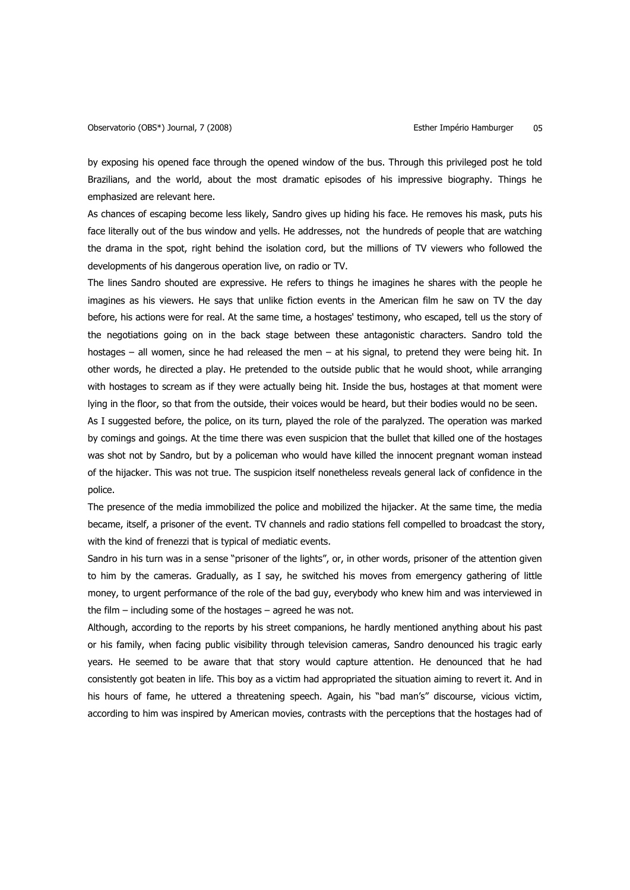by exposing his opened face through the opened window of the bus. Through this privileged post he told Brazilians, and the world, about the most dramatic episodes of his impressive biography. Things he emphasized are relevant here.

As chances of escaping become less likely, Sandro gives up hiding his face. He removes his mask, puts his face literally out of the bus window and yells. He addresses, not the hundreds of people that are watching the drama in the spot, right behind the isolation cord, but the millions of TV viewers who followed the developments of his dangerous operation live, on radio or TV.

The lines Sandro shouted are expressive. He refers to things he imagines he shares with the people he imagines as his viewers. He says that unlike fiction events in the American film he saw on TV the day before, his actions were for real. At the same time, a hostages' testimony, who escaped, tell us the story of the negotiations going on in the back stage between these antagonistic characters. Sandro told the hostages – all women, since he had released the men – at his signal, to pretend they were being hit. In other words, he directed a play. He pretended to the outside public that he would shoot, while arranging with hostages to scream as if they were actually being hit. Inside the bus, hostages at that moment were lying in the floor, so that from the outside, their voices would be heard, but their bodies would no be seen.

As I suggested before, the police, on its turn, played the role of the paralyzed. The operation was marked by comings and goings. At the time there was even suspicion that the bullet that killed one of the hostages was shot not by Sandro, but by a policeman who would have killed the innocent pregnant woman instead of the hijacker. This was not true. The suspicion itself nonetheless reveals general lack of confidence in the police.

The presence of the media immobilized the police and mobilized the hijacker. At the same time, the media became, itself, a prisoner of the event. TV channels and radio stations fell compelled to broadcast the story, with the kind of frenezzi that is typical of mediatic events.

Sandro in his turn was in a sense "prisoner of the lights", or, in other words, prisoner of the attention given to him by the cameras. Gradually, as I say, he switched his moves from emergency gathering of little money, to urgent performance of the role of the bad guy, everybody who knew him and was interviewed in the film – including some of the hostages – agreed he was not.

Although, according to the reports by his street companions, he hardly mentioned anything about his past or his family, when facing public visibility through television cameras, Sandro denounced his tragic early years. He seemed to be aware that that story would capture attention. He denounced that he had consistently got beaten in life. This boy as a victim had appropriated the situation aiming to revert it. And in his hours of fame, he uttered a threatening speech. Again, his "bad man's" discourse, vicious victim, according to him was inspired by American movies, contrasts with the perceptions that the hostages had of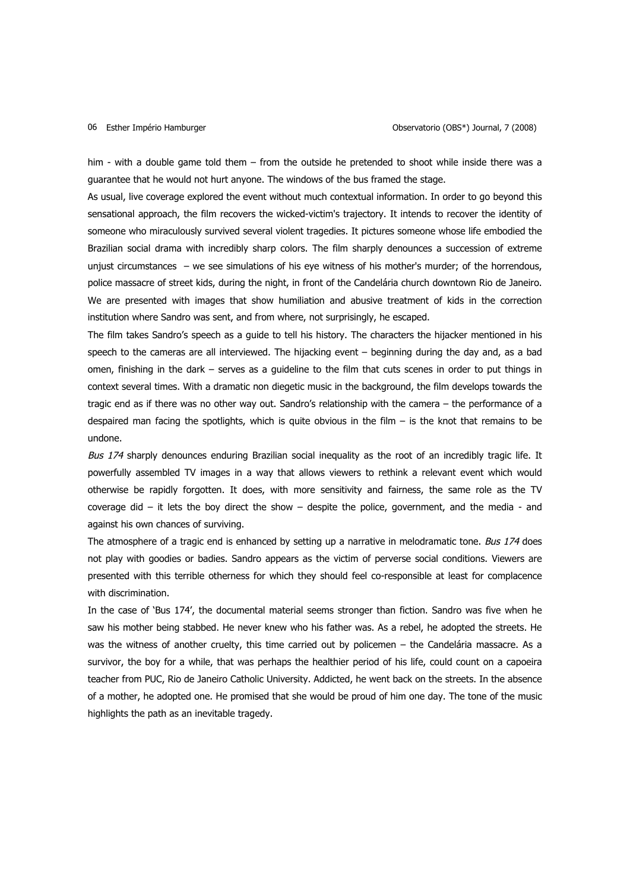him - with a double game told them – from the outside he pretended to shoot while inside there was a guarantee that he would not hurt anyone. The windows of the bus framed the stage.

As usual, live coverage explored the event without much contextual information. In order to go beyond this sensational approach, the film recovers the wicked-victim's trajectory. It intends to recover the identity of someone who miraculously survived several violent tragedies. It pictures someone whose life embodied the Brazilian social drama with incredibly sharp colors. The film sharply denounces a succession of extreme unjust circumstances – we see simulations of his eye witness of his mother's murder; of the horrendous, police massacre of street kids, during the night, in front of the Candelária church downtown Rio de Janeiro. We are presented with images that show humiliation and abusive treatment of kids in the correction institution where Sandro was sent, and from where, not surprisingly, he escaped.

The film takes Sandro's speech as a guide to tell his history. The characters the hijacker mentioned in his speech to the cameras are all interviewed. The hijacking event – beginning during the day and, as a bad omen, finishing in the dark – serves as a guideline to the film that cuts scenes in order to put things in context several times. With a dramatic non diegetic music in the background, the film develops towards the tragic end as if there was no other way out. Sandro's relationship with the camera – the performance of a despaired man facing the spotlights, which is quite obvious in the film  $-$  is the knot that remains to be undone.

Bus 174 sharply denounces enduring Brazilian social inequality as the root of an incredibly tragic life. It powerfully assembled TV images in a way that allows viewers to rethink a relevant event which would otherwise be rapidly forgotten. It does, with more sensitivity and fairness, the same role as the TV coverage did – it lets the boy direct the show – despite the police, government, and the media - and against his own chances of surviving.

The atmosphere of a tragic end is enhanced by setting up a narrative in melodramatic tone. Bus 174 does not play with goodies or badies. Sandro appears as the victim of perverse social conditions. Viewers are presented with this terrible otherness for which they should feel co-responsible at least for complacence with discrimination.

In the case of 'Bus 174', the documental material seems stronger than fiction. Sandro was five when he saw his mother being stabbed. He never knew who his father was. As a rebel, he adopted the streets. He was the witness of another cruelty, this time carried out by policemen – the Candelária massacre. As a survivor, the boy for a while, that was perhaps the healthier period of his life, could count on a capoeira teacher from PUC, Rio de Janeiro Catholic University. Addicted, he went back on the streets. In the absence of a mother, he adopted one. He promised that she would be proud of him one day. The tone of the music highlights the path as an inevitable tragedy.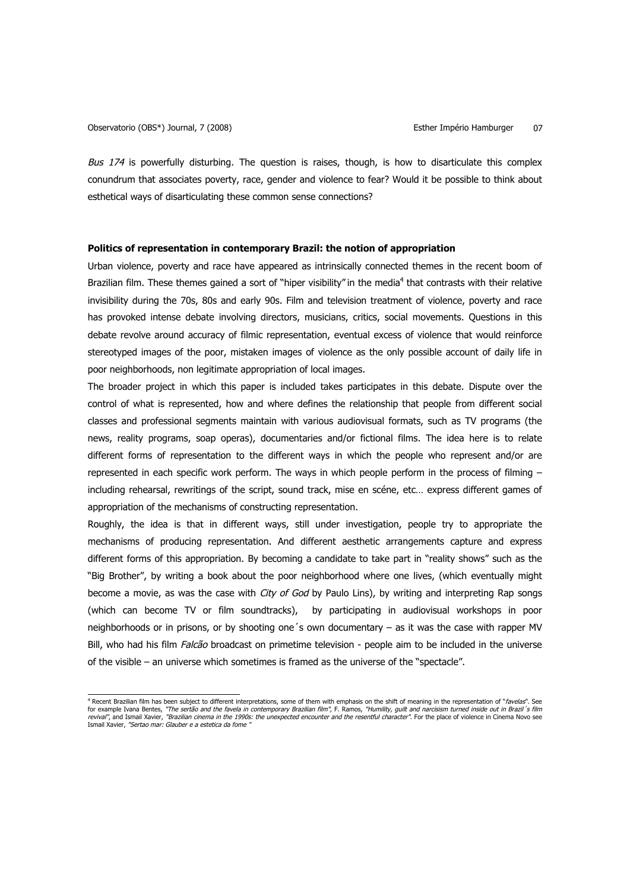Bus  $174$  is powerfully disturbing. The question is raises, though, is how to disarticulate this complex conundrum that associates poverty, race, gender and violence to fear? Would it be possible to think about esthetical ways of disarticulating these common sense connections?

# **Politics of representation in contemporary Brazil: the notion of appropriation**

Urban violence, poverty and race have appeared as intrinsically connected themes in the recent boom of Brazilian film. These themes gained a sort of "hiper visibility" in the media<sup>4</sup> that contrasts with their relative invisibility during the 70s, 80s and early 90s. Film and television treatment of violence, poverty and race has provoked intense debate involving directors, musicians, critics, social movements. Questions in this debate revolve around accuracy of filmic representation, eventual excess of violence that would reinforce stereotyped images of the poor, mistaken images of violence as the only possible account of daily life in poor neighborhoods, non legitimate appropriation of local images.

The broader project in which this paper is included takes participates in this debate. Dispute over the control of what is represented, how and where defines the relationship that people from different social classes and professional segments maintain with various audiovisual formats, such as TV programs (the news, reality programs, soap operas), documentaries and/or fictional films. The idea here is to relate different forms of representation to the different ways in which the people who represent and/or are represented in each specific work perform. The ways in which people perform in the process of filming – including rehearsal, rewritings of the script, sound track, mise en scéne, etc… express different games of appropriation of the mechanisms of constructing representation.

Roughly, the idea is that in different ways, still under investigation, people try to appropriate the mechanisms of producing representation. And different aesthetic arrangements capture and express different forms of this appropriation. By becoming a candidate to take part in "reality shows" such as the "Big Brother", by writing a book about the poor neighborhood where one lives, (which eventually might become a movie, as was the case with *City of God* by Paulo Lins), by writing and interpreting Rap songs (which can become TV or film soundtracks), by participating in audiovisual workshops in poor neighborhoods or in prisons, or by shooting one´s own documentary – as it was the case with rapper MV Bill, who had his film Falcão broadcast on primetime television - people aim to be included in the universe of the visible – an universe which sometimes is framed as the universe of the "spectacle".

and the cent Brazilian film has been subject to different interpretations, some of them with emphasis on the shift of meaning in the representation of "*favelas"*. See for example Ivana Bentes, "The sertão and the favela in contemporary Brazilian film", F. Ramos, "Humility, guilt and narcisism turned inside out in Brazil's film *revival",* and Ismail Xavier, *"Brazilian cinema in the 1990s: the unexpected encounter and the resentful character".* For the place of violence in Cinema Novo see<br>Ismail Xavier, *"Sertao mar: Glauber e a estetica da fome*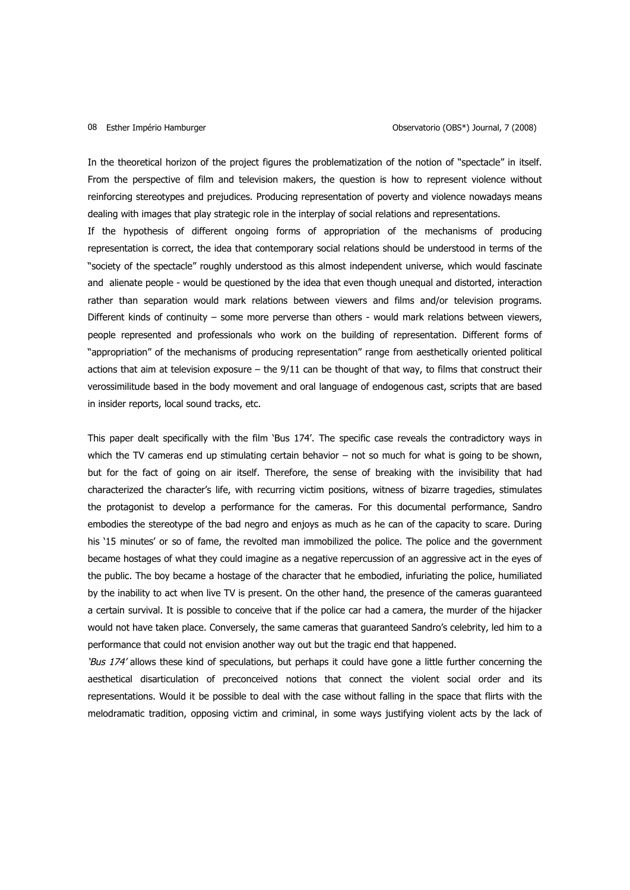### 08 Esther Império Hamburger

In the theoretical horizon of the project figures the problematization of the notion of "spectacle" in itself. From the perspective of film and television makers, the question is how to represent violence without reinforcing stereotypes and prejudices. Producing representation of poverty and violence nowadays means dealing with images that play strategic role in the interplay of social relations and representations.

If the hypothesis of different ongoing forms of appropriation of the mechanisms of producing representation is correct, the idea that contemporary social relations should be understood in terms of the "society of the spectacle" roughly understood as this almost independent universe, which would fascinate and alienate people - would be questioned by the idea that even though unequal and distorted, interaction rather than separation would mark relations between viewers and films and/or television programs. Different kinds of continuity – some more perverse than others - would mark relations between viewers, people represented and professionals who work on the building of representation. Different forms of "appropriation" of the mechanisms of producing representation" range from aesthetically oriented political actions that aim at television exposure – the 9/11 can be thought of that way, to films that construct their verossimilitude based in the body movement and oral language of endogenous cast, scripts that are based in insider reports, local sound tracks, etc.

This paper dealt specifically with the film 'Bus 174'. The specific case reveals the contradictory ways in which the TV cameras end up stimulating certain behavior – not so much for what is going to be shown, but for the fact of going on air itself. Therefore, the sense of breaking with the invisibility that had characterized the character's life, with recurring victim positions, witness of bizarre tragedies, stimulates the protagonist to develop a performance for the cameras. For this documental performance, Sandro embodies the stereotype of the bad negro and enjoys as much as he can of the capacity to scare. During his '15 minutes' or so of fame, the revolted man immobilized the police. The police and the government became hostages of what they could imagine as a negative repercussion of an aggressive act in the eyes of the public. The boy became a hostage of the character that he embodied, infuriating the police, humiliated by the inability to act when live TV is present. On the other hand, the presence of the cameras guaranteed a certain survival. It is possible to conceive that if the police car had a camera, the murder of the hijacker would not have taken place. Conversely, the same cameras that guaranteed Sandro's celebrity, led him to a performance that could not envision another way out but the tragic end that happened.

'Bus 174' allows these kind of speculations, but perhaps it could have gone a little further concerning the aesthetical disarticulation of preconceived notions that connect the violent social order and its representations. Would it be possible to deal with the case without falling in the space that flirts with the melodramatic tradition, opposing victim and criminal, in some ways justifying violent acts by the lack of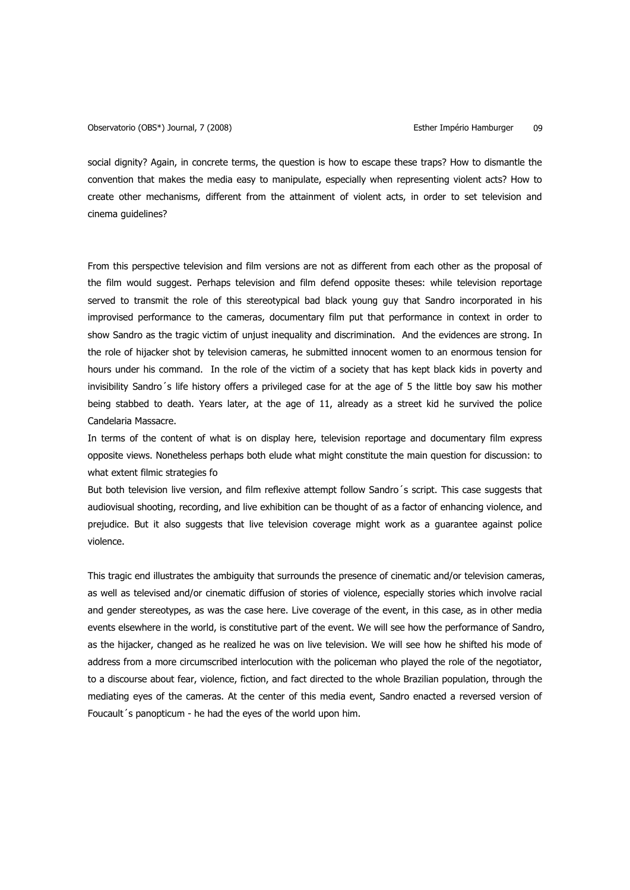Observatorio (OBS\*) Journal, 7 (2008) Esther Império Hamburger 09

social dignity? Again, in concrete terms, the question is how to escape these traps? How to dismantle the convention that makes the media easy to manipulate, especially when representing violent acts? How to create other mechanisms, different from the attainment of violent acts, in order to set television and cinema guidelines?

From this perspective television and film versions are not as different from each other as the proposal of the film would suggest. Perhaps television and film defend opposite theses: while television reportage served to transmit the role of this stereotypical bad black young guy that Sandro incorporated in his improvised performance to the cameras, documentary film put that performance in context in order to show Sandro as the tragic victim of unjust inequality and discrimination. And the evidences are strong. In the role of hijacker shot by television cameras, he submitted innocent women to an enormous tension for hours under his command. In the role of the victim of a society that has kept black kids in poverty and invisibility Sandro´s life history offers a privileged case for at the age of 5 the little boy saw his mother being stabbed to death. Years later, at the age of 11, already as a street kid he survived the police Candelaria Massacre.

In terms of the content of what is on display here, television reportage and documentary film express opposite views. Nonetheless perhaps both elude what might constitute the main question for discussion: to what extent filmic strategies fo

But both television live version, and film reflexive attempt follow Sandro´s script. This case suggests that audiovisual shooting, recording, and live exhibition can be thought of as a factor of enhancing violence, and prejudice. But it also suggests that live television coverage might work as a guarantee against police violence.

This tragic end illustrates the ambiguity that surrounds the presence of cinematic and/or television cameras, as well as televised and/or cinematic diffusion of stories of violence, especially stories which involve racial and gender stereotypes, as was the case here. Live coverage of the event, in this case, as in other media events elsewhere in the world, is constitutive part of the event. We will see how the performance of Sandro, as the hijacker, changed as he realized he was on live television. We will see how he shifted his mode of address from a more circumscribed interlocution with the policeman who played the role of the negotiator, to a discourse about fear, violence, fiction, and fact directed to the whole Brazilian population, through the mediating eyes of the cameras. At the center of this media event, Sandro enacted a reversed version of Foucault´s panopticum - he had the eyes of the world upon him.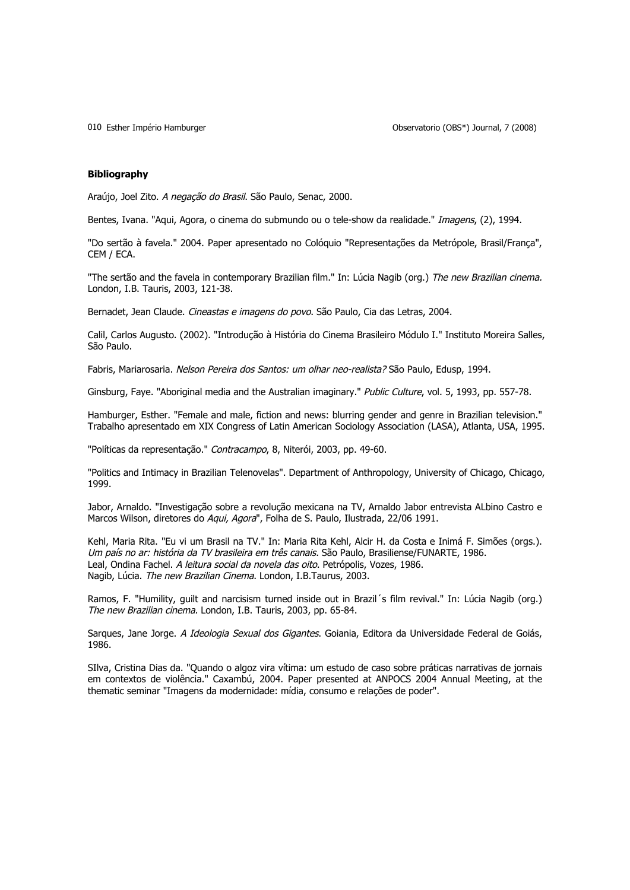010 Esther Império Hamburger

Observatorio (OBS\*) Journal, 7 (2008)

## **Bibliography**

Araújo, Joel Zito. A negação do Brasil. São Paulo, Senac, 2000.

Bentes, Ivana. "Aqui, Agora, o cinema do submundo ou o tele-show da realidade." Imagens, (2), 1994.

"Do sertão à favela." 2004. Paper apresentado no Colóquio "Representações da Metrópole, Brasil/França", CEM / ECA.

"The sertão and the favela in contemporary Brazilian film." In: Lúcia Nagib (org.) The new Brazilian cinema. London, I.B. Tauris, 2003, 121-38.

Bernadet, Jean Claude. Cineastas e imagens do povo. São Paulo, Cia das Letras, 2004.

Calil, Carlos Augusto. (2002). "Introdução à História do Cinema Brasileiro Módulo I." Instituto Moreira Salles, São Paulo.

Fabris, Mariarosaria. Nelson Pereira dos Santos: um olhar neo-realista? São Paulo, Edusp, 1994.

Ginsburg, Faye. "Aboriginal media and the Australian imaginary." Public Culture, vol. 5, 1993, pp. 557-78.

Hamburger, Esther. "Female and male, fiction and news: blurring gender and genre in Brazilian television." Trabalho apresentado em XIX Congress of Latin American Sociology Association (LASA), Atlanta, USA, 1995.

"Políticas da representação." Contracampo, 8, Niterói, 2003, pp. 49-60.

"Politics and Intimacy in Brazilian Telenovelas". Department of Anthropology, University of Chicago, Chicago, 1999.

Jabor, Arnaldo. "Investigação sobre a revolução mexicana na TV, Arnaldo Jabor entrevista ALbino Castro e Marcos Wilson, diretores do Aqui, Agora", Folha de S. Paulo, Ilustrada, 22/06 1991.

Kehl, Maria Rita. "Eu vi um Brasil na TV." In: Maria Rita Kehl, Alcir H. da Costa e Inimá F. Simões (orgs.). Um país no ar: história da TV brasileira em três canais. São Paulo, Brasiliense/FUNARTE, 1986. Leal, Ondina Fachel. A leitura social da novela das oito. Petrópolis, Vozes, 1986. Nagib, Lúcia. The new Brazilian Cinema. London, I.B.Taurus, 2003.

Ramos, F. "Humility, guilt and narcisism turned inside out in Brazil´s film revival." In: Lúcia Nagib (org.) The new Brazilian cinema. London, I.B. Tauris, 2003, pp. 65-84.

Sarques, Jane Jorge. A Ideologia Sexual dos Gigantes. Goiania, Editora da Universidade Federal de Goiás, 1986.

SIlva, Cristina Dias da. "Quando o algoz vira vítima: um estudo de caso sobre práticas narrativas de jornais em contextos de violência." Caxambú, 2004. Paper presented at ANPOCS 2004 Annual Meeting, at the thematic seminar "Imagens da modernidade: mídia, consumo e relações de poder".